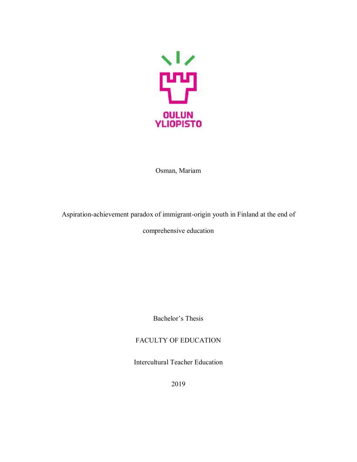

Osman, Mariam

Aspiration-achievement paradox of immigrant-origin youth in Finland at the end of

comprehensive education

Bachelor's Thesis

### FACULTY OF EDUCATION

Intercultural Teacher Education

2019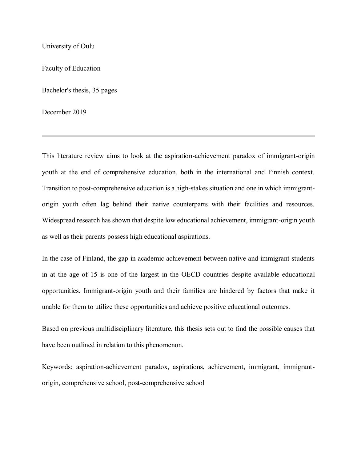University of Oulu

Faculty of Education

Bachelor's thesis, 35 pages

December 2019

This literature review aims to look at the aspiration-achievement paradox of immigrant-origin youth at the end of comprehensive education, both in the international and Finnish context. Transition to post-comprehensive education is a high-stakes situation and one in which immigrantorigin youth often lag behind their native counterparts with their facilities and resources. Widespread research has shown that despite low educational achievement, immigrant-origin youth as well as their parents possess high educational aspirations.

In the case of Finland, the gap in academic achievement between native and immigrant students in at the age of 15 is one of the largest in the OECD countries despite available educational opportunities. Immigrant-origin youth and their families are hindered by factors that make it unable for them to utilize these opportunities and achieve positive educational outcomes.

Based on previous multidisciplinary literature, this thesis sets out to find the possible causes that have been outlined in relation to this phenomenon.

Keywords: aspiration-achievement paradox, aspirations, achievement, immigrant, immigrantorigin, comprehensive school, post-comprehensive school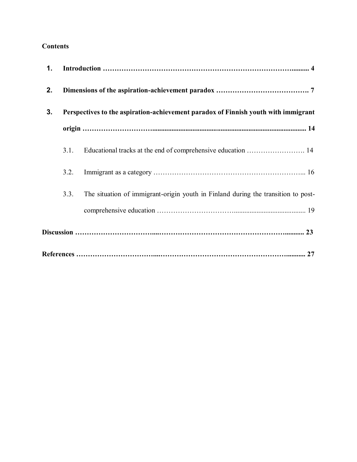### **Contents**

| 1. |                                                                                    |                                                                                   |
|----|------------------------------------------------------------------------------------|-----------------------------------------------------------------------------------|
| 2. |                                                                                    |                                                                                   |
| 3. | Perspectives to the aspiration-achievement paradox of Finnish youth with immigrant |                                                                                   |
|    |                                                                                    |                                                                                   |
|    | 3.1.                                                                               | Educational tracks at the end of comprehensive education  14                      |
|    | 3.2.                                                                               |                                                                                   |
|    | 3.3.                                                                               | The situation of immigrant-origin youth in Finland during the transition to post- |
|    |                                                                                    |                                                                                   |
|    |                                                                                    |                                                                                   |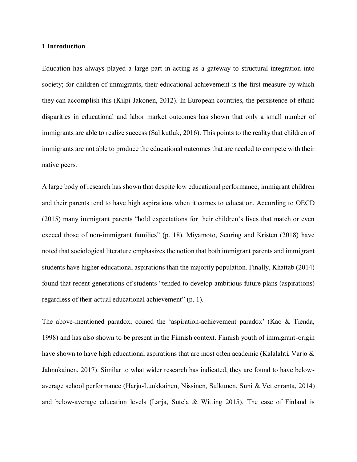#### **1 Introduction**

Education has always played a large part in acting as a gateway to structural integration into society; for children of immigrants, their educational achievement is the first measure by which they can accomplish this (Kilpi-Jakonen, 2012). In European countries, the persistence of ethnic disparities in educational and labor market outcomes has shown that only a small number of immigrants are able to realize success (Salikutluk, 2016). This points to the reality that children of immigrants are not able to produce the educational outcomes that are needed to compete with their native peers.

A large body of research has shown that despite low educational performance, immigrant children and their parents tend to have high aspirations when it comes to education. According to OECD (2015) many immigrant parents "hold expectations for their children's lives that match or even exceed those of non-immigrant families" (p. 18). Miyamoto, Seuring and Kristen (2018) have noted that sociological literature emphasizes the notion that both immigrant parents and immigrant students have higher educational aspirations than the majority population. Finally, Khattab (2014) found that recent generations of students "tended to develop ambitious future plans (aspirations) regardless of their actual educational achievement" (p. 1).

The above-mentioned paradox, coined the 'aspiration-achievement paradox' (Kao & Tienda, 1998) and has also shown to be present in the Finnish context. Finnish youth of immigrant-origin have shown to have high educational aspirations that are most often academic (Kalalahti, Varjo & Jahnukainen, 2017). Similar to what wider research has indicated, they are found to have belowaverage school performance (Harju-Luukkainen, Nissinen, Sulkunen, Suni & Vettenranta, 2014) and below-average education levels (Larja, Sutela & Witting 2015). The case of Finland is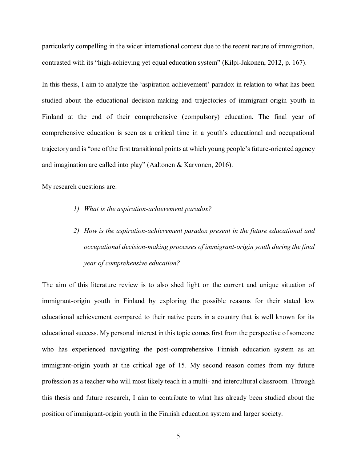particularly compelling in the wider international context due to the recent nature of immigration, contrasted with its "high-achieving yet equal education system" (Kilpi-Jakonen, 2012, p. 167).

In this thesis, I aim to analyze the 'aspiration-achievement' paradox in relation to what has been studied about the educational decision-making and trajectories of immigrant-origin youth in Finland at the end of their comprehensive (compulsory) education. The final year of comprehensive education is seen as a critical time in a youth's educational and occupational trajectory and is "one of the first transitional points at which young people's future-oriented agency and imagination are called into play" (Aaltonen & Karvonen, 2016).

My research questions are:

- *1) What is the aspiration-achievement paradox?*
- *2) How is the aspiration-achievement paradox present in the future educational and occupational decision-making processes of immigrant-origin youth during the final year of comprehensive education?*

The aim of this literature review is to also shed light on the current and unique situation of immigrant-origin youth in Finland by exploring the possible reasons for their stated low educational achievement compared to their native peers in a country that is well known for its educational success. My personal interest in this topic comes first from the perspective of someone who has experienced navigating the post-comprehensive Finnish education system as an immigrant-origin youth at the critical age of 15. My second reason comes from my future profession as a teacher who will most likely teach in a multi- and intercultural classroom. Through this thesis and future research, I aim to contribute to what has already been studied about the position of immigrant-origin youth in the Finnish education system and larger society.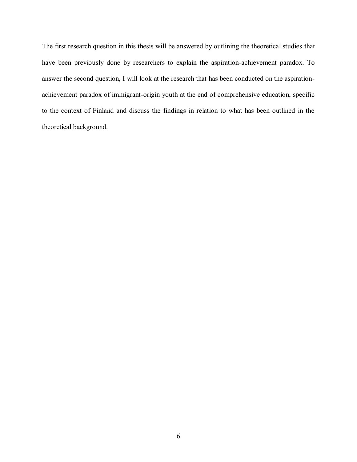The first research question in this thesis will be answered by outlining the theoretical studies that have been previously done by researchers to explain the aspiration-achievement paradox. To answer the second question, I will look at the research that has been conducted on the aspirationachievement paradox of immigrant-origin youth at the end of comprehensive education, specific to the context of Finland and discuss the findings in relation to what has been outlined in the theoretical background.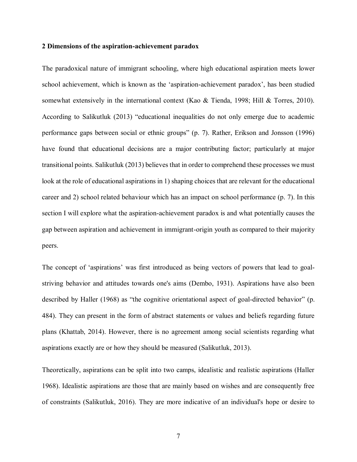#### **2 Dimensions of the aspiration-achievement paradox**

The paradoxical nature of immigrant schooling, where high educational aspiration meets lower school achievement, which is known as the 'aspiration-achievement paradox', has been studied somewhat extensively in the international context (Kao & Tienda, 1998; Hill & Torres, 2010). According to Salikutluk (2013) "educational inequalities do not only emerge due to academic performance gaps between social or ethnic groups" (p. 7). Rather, Erikson and Jonsson (1996) have found that educational decisions are a major contributing factor; particularly at major transitional points. Salikutluk (2013) believes that in order to comprehend these processes we must look at the role of educational aspirations in 1) shaping choices that are relevant for the educational career and 2) school related behaviour which has an impact on school performance (p. 7). In this section I will explore what the aspiration-achievement paradox is and what potentially causes the gap between aspiration and achievement in immigrant-origin youth as compared to their majority peers.

The concept of 'aspirations' was first introduced as being vectors of powers that lead to goalstriving behavior and attitudes towards one's aims (Dembo, 1931). Aspirations have also been described by Haller (1968) as "the cognitive orientational aspect of goal-directed behavior" (p. 484). They can present in the form of abstract statements or values and beliefs regarding future plans (Khattab, 2014). However, there is no agreement among social scientists regarding what aspirations exactly are or how they should be measured (Salikutluk, 2013).

Theoretically, aspirations can be split into two camps, idealistic and realistic aspirations (Haller 1968). Idealistic aspirations are those that are mainly based on wishes and are consequently free of constraints (Salikutluk, 2016). They are more indicative of an individual's hope or desire to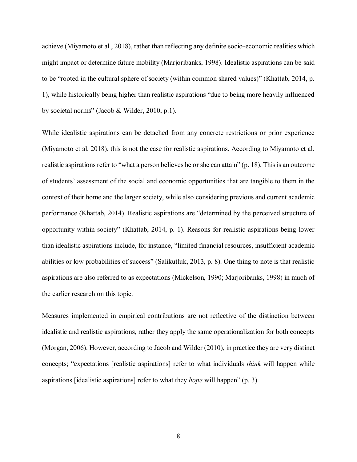achieve (Miyamoto et al., 2018), rather than reflecting any definite socio-economic realities which might impact or determine future mobility (Marjoribanks, 1998). Idealistic aspirations can be said to be "rooted in the cultural sphere of society (within common shared values)" (Khattab, 2014, p. 1), while historically being higher than realistic aspirations "due to being more heavily influenced by societal norms" (Jacob & Wilder, 2010, p.1).

While idealistic aspirations can be detached from any concrete restrictions or prior experience (Miyamoto et al. 2018), this is not the case for realistic aspirations. According to Miyamoto et al. realistic aspirations refer to "what a person believes he or she can attain" (p. 18). This is an outcome of students' assessment of the social and economic opportunities that are tangible to them in the context of their home and the larger society, while also considering previous and current academic performance (Khattab, 2014). Realistic aspirations are "determined by the perceived structure of opportunity within society" (Khattab, 2014, p. 1). Reasons for realistic aspirations being lower than idealistic aspirations include, for instance, "limited financial resources, insufficient academic abilities or low probabilities of success" (Salikutluk, 2013, p. 8). One thing to note is that realistic aspirations are also referred to as expectations (Mickelson, 1990; Marjoribanks, 1998) in much of the earlier research on this topic.

Measures implemented in empirical contributions are not reflective of the distinction between idealistic and realistic aspirations, rather they apply the same operationalization for both concepts (Morgan, 2006). However, according to Jacob and Wilder (2010), in practice they are very distinct concepts; "expectations [realistic aspirations] refer to what individuals *think* will happen while aspirations [idealistic aspirations] refer to what they *hope* will happen" (p. 3).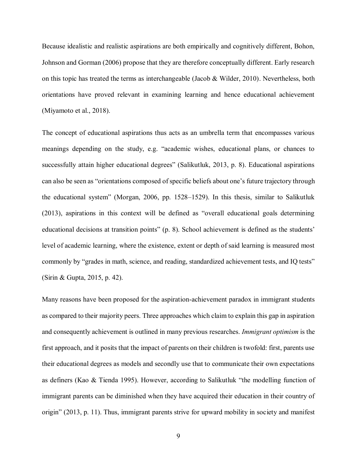Because idealistic and realistic aspirations are both empirically and cognitively different, Bohon, Johnson and Gorman (2006) propose that they are therefore conceptually different. Early research on this topic has treated the terms as interchangeable (Jacob & Wilder, 2010). Nevertheless, both orientations have proved relevant in examining learning and hence educational achievement (Miyamoto et al., 2018).

The concept of educational aspirations thus acts as an umbrella term that encompasses various meanings depending on the study, e.g. "academic wishes, educational plans, or chances to successfully attain higher educational degrees" (Salikutluk, 2013, p. 8). Educational aspirations can also be seen as "orientations composed of specific beliefs about one's future trajectory through the educational system" (Morgan, 2006, pp. 1528–1529). In this thesis, similar to Salikutluk (2013), aspirations in this context will be defined as "overall educational goals determining educational decisions at transition points" (p. 8). School achievement is defined as the students' level of academic learning, where the existence, extent or depth of said learning is measured most commonly by "grades in math, science, and reading, standardized achievement tests, and IQ tests" (Sirin & Gupta, 2015, p. 42).

Many reasons have been proposed for the aspiration-achievement paradox in immigrant students as compared to their majority peers. Three approaches which claim to explain this gap in aspiration and consequently achievement is outlined in many previous researches. *Immigrant optimism* is the first approach, and it posits that the impact of parents on their children is twofold: first, parents use their educational degrees as models and secondly use that to communicate their own expectations as definers (Kao & Tienda 1995). However, according to Salikutluk "the modelling function of immigrant parents can be diminished when they have acquired their education in their country of origin" (2013, p. 11). Thus, immigrant parents strive for upward mobility in society and manifest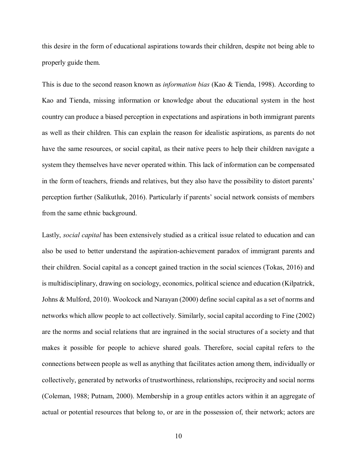this desire in the form of educational aspirations towards their children, despite not being able to properly guide them.

This is due to the second reason known as *information bias* (Kao & Tienda, 1998). According to Kao and Tienda, missing information or knowledge about the educational system in the host country can produce a biased perception in expectations and aspirations in both immigrant parents as well as their children. This can explain the reason for idealistic aspirations, as parents do not have the same resources, or social capital, as their native peers to help their children navigate a system they themselves have never operated within. This lack of information can be compensated in the form of teachers, friends and relatives, but they also have the possibility to distort parents' perception further (Salikutluk, 2016). Particularly if parents' social network consists of members from the same ethnic background.

Lastly, *social capital* has been extensively studied as a critical issue related to education and can also be used to better understand the aspiration-achievement paradox of immigrant parents and their children. Social capital as a concept gained traction in the social sciences (Tokas, 2016) and is multidisciplinary, drawing on sociology, economics, political science and education (Kilpatrick, Johns & Mulford, 2010). Woolcock and Narayan (2000) define social capital as a set of norms and networks which allow people to act collectively. Similarly, social capital according to Fine (2002) are the norms and social relations that are ingrained in the social structures of a society and that makes it possible for people to achieve shared goals. Therefore, social capital refers to the connections between people as well as anything that facilitates action among them, individually or collectively, generated by networks of trustworthiness, relationships, reciprocity and social norms (Coleman, 1988; Putnam, 2000). Membership in a group entitles actors within it an aggregate of actual or potential resources that belong to, or are in the possession of, their network; actors are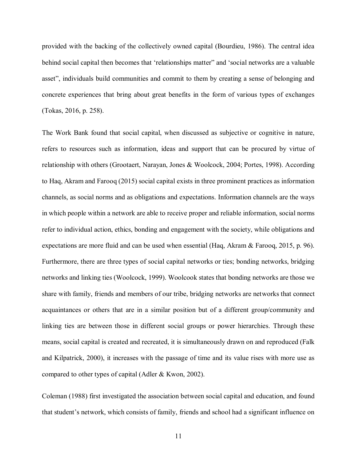provided with the backing of the collectively owned capital (Bourdieu, 1986). The central idea behind social capital then becomes that 'relationships matter" and 'social networks are a valuable asset", individuals build communities and commit to them by creating a sense of belonging and concrete experiences that bring about great benefits in the form of various types of exchanges (Tokas, 2016, p. 258).

The Work Bank found that social capital, when discussed as subjective or cognitive in nature, refers to resources such as information, ideas and support that can be procured by virtue of relationship with others (Grootaert, Narayan, Jones & Woolcock, 2004; Portes, 1998). According to Haq, Akram and Farooq (2015) social capital exists in three prominent practices as information channels, as social norms and as obligations and expectations. Information channels are the ways in which people within a network are able to receive proper and reliable information, social norms refer to individual action, ethics, bonding and engagement with the society, while obligations and expectations are more fluid and can be used when essential (Haq, Akram & Farooq, 2015, p. 96). Furthermore, there are three types of social capital networks or ties; bonding networks, bridging networks and linking ties (Woolcock, 1999). Woolcook states that bonding networks are those we share with family, friends and members of our tribe, bridging networks are networks that connect acquaintances or others that are in a similar position but of a different group/community and linking ties are between those in different social groups or power hierarchies. Through these means, social capital is created and recreated, it is simultaneously drawn on and reproduced (Falk and Kilpatrick, 2000), it increases with the passage of time and its value rises with more use as compared to other types of capital (Adler & Kwon, 2002).

Coleman (1988) first investigated the association between social capital and education, and found that student's network, which consists of family, friends and school had a significant influence on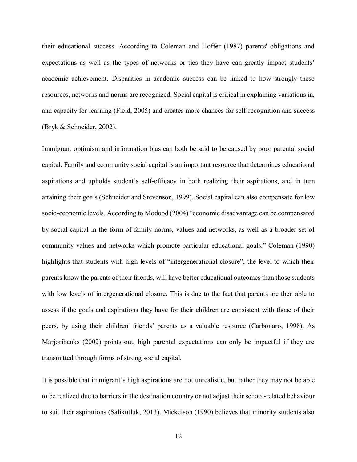their educational success. According to Coleman and Hoffer (1987) parents' obligations and expectations as well as the types of networks or ties they have can greatly impact students' academic achievement. Disparities in academic success can be linked to how strongly these resources, networks and norms are recognized. Social capital is critical in explaining variations in, and capacity for learning (Field, 2005) and creates more chances for self-recognition and success (Bryk & Schneider, 2002).

Immigrant optimism and information bias can both be said to be caused by poor parental social capital. Family and community social capital is an important resource that determines educational aspirations and upholds student's self-efficacy in both realizing their aspirations, and in turn attaining their goals (Schneider and Stevenson, 1999). Social capital can also compensate for low socio-economic levels. According to Modood (2004) "economic disadvantage can be compensated by social capital in the form of family norms, values and networks, as well as a broader set of community values and networks which promote particular educational goals." Coleman (1990) highlights that students with high levels of "intergenerational closure", the level to which their parents know the parents of their friends, will have better educational outcomes than those students with low levels of intergenerational closure. This is due to the fact that parents are then able to assess if the goals and aspirations they have for their children are consistent with those of their peers, by using their children' friends' parents as a valuable resource (Carbonaro, 1998). As Marjoribanks (2002) points out, high parental expectations can only be impactful if they are transmitted through forms of strong social capital.

It is possible that immigrant's high aspirations are not unrealistic, but rather they may not be able to be realized due to barriers in the destination country or not adjust their school-related behaviour to suit their aspirations (Salikutluk, 2013). Mickelson (1990) believes that minority students also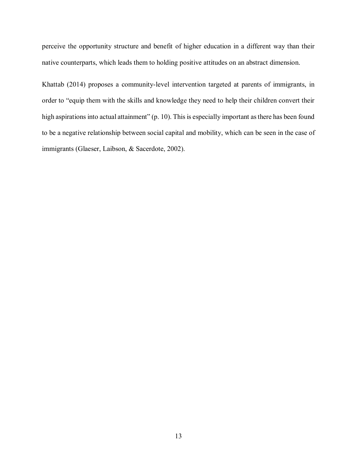perceive the opportunity structure and benefit of higher education in a different way than their native counterparts, which leads them to holding positive attitudes on an abstract dimension.

Khattab (2014) proposes a community-level intervention targeted at parents of immigrants, in order to "equip them with the skills and knowledge they need to help their children convert their high aspirations into actual attainment" (p. 10). This is especially important as there has been found to be a negative relationship between social capital and mobility, which can be seen in the case of immigrants (Glaeser, Laibson, & Sacerdote, 2002).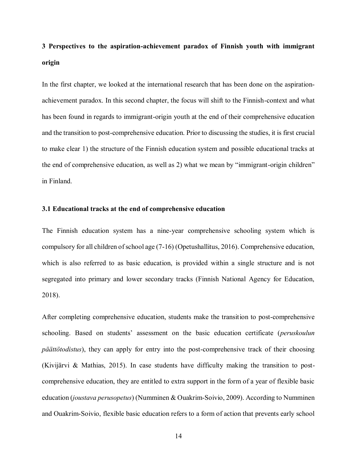# **3 Perspectives to the aspiration-achievement paradox of Finnish youth with immigrant origin**

In the first chapter, we looked at the international research that has been done on the aspirationachievement paradox. In this second chapter, the focus will shift to the Finnish-context and what has been found in regards to immigrant-origin youth at the end of their comprehensive education and the transition to post-comprehensive education. Prior to discussing the studies, it is first crucial to make clear 1) the structure of the Finnish education system and possible educational tracks at the end of comprehensive education, as well as 2) what we mean by "immigrant-origin children" in Finland.

#### **3.1 Educational tracks at the end of comprehensive education**

The Finnish education system has a nine-year comprehensive schooling system which is compulsory for all children of school age (7-16) (Opetushallitus, 2016). Comprehensive education, which is also referred to as basic education, is provided within a single structure and is not segregated into primary and lower secondary tracks (Finnish National Agency for Education, 2018).

After completing comprehensive education, students make the transition to post-comprehensive schooling. Based on students' assessment on the basic education certificate (*peruskoulun päättötodistus*), they can apply for entry into the post-comprehensive track of their choosing (Kivijärvi & Mathias, 2015). In case students have difficulty making the transition to postcomprehensive education, they are entitled to extra support in the form of a year of flexible basic education (*joustava perusopetus*) (Numminen & Ouakrim-Soivio, 2009). According to Numminen and Ouakrim-Soivio, flexible basic education refers to a form of action that prevents early school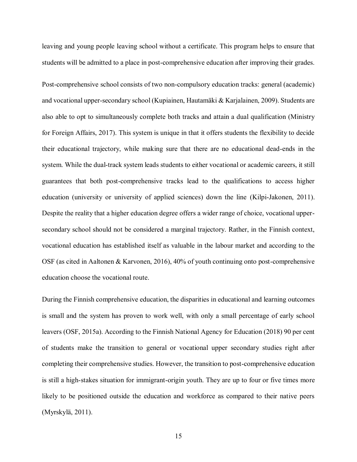leaving and young people leaving school without a certificate. This program helps to ensure that students will be admitted to a place in post-comprehensive education after improving their grades.

Post-comprehensive school consists of two non-compulsory education tracks: general (academic) and vocational upper-secondary school (Kupiainen, Hautamäki & Karjalainen, 2009). Students are also able to opt to simultaneously complete both tracks and attain a dual qualification (Ministry for Foreign Affairs, 2017). This system is unique in that it offers students the flexibility to decide their educational trajectory, while making sure that there are no educational dead-ends in the system. While the dual-track system leads students to either vocational or academic careers, it still guarantees that both post-comprehensive tracks lead to the qualifications to access higher education (university or university of applied sciences) down the line (Kilpi-Jakonen, 2011). Despite the reality that a higher education degree offers a wider range of choice, vocational uppersecondary school should not be considered a marginal trajectory. Rather, in the Finnish context, vocational education has established itself as valuable in the labour market and according to the OSF (as cited in Aaltonen & Karvonen, 2016), 40% of youth continuing onto post-comprehensive education choose the vocational route.

During the Finnish comprehensive education, the disparities in educational and learning outcomes is small and the system has proven to work well, with only a small percentage of early school leavers (OSF, 2015a). According to the Finnish National Agency for Education (2018) 90 per cent of students make the transition to general or vocational upper secondary studies right after completing their comprehensive studies. However, the transition to post-comprehensive education is still a high-stakes situation for immigrant-origin youth. They are up to four or five times more likely to be positioned outside the education and workforce as compared to their native peers (Myrskylä, 2011).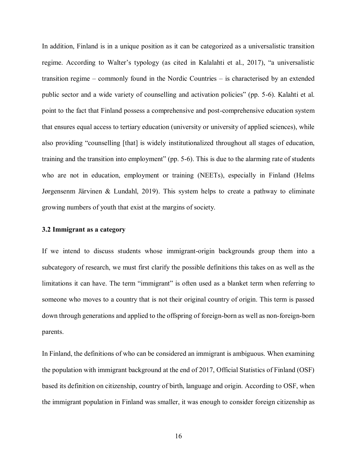In addition, Finland is in a unique position as it can be categorized as a universalistic transition regime. According to Walter's typology (as cited in Kalalahti et al., 2017), "a universalistic transition regime – commonly found in the Nordic Countries – is characterised by an extended public sector and a wide variety of counselling and activation policies" (pp. 5-6). Kalahti et al. point to the fact that Finland possess a comprehensive and post-comprehensive education system that ensures equal access to tertiary education (university or university of applied sciences), while also providing "counselling [that] is widely institutionalized throughout all stages of education, training and the transition into employment" (pp. 5-6). This is due to the alarming rate of students who are not in education, employment or training (NEETs), especially in Finland (Helms Jørgensenm Järvinen & Lundahl, 2019). This system helps to create a pathway to eliminate growing numbers of youth that exist at the margins of society.

#### **3.2 Immigrant as a category**

If we intend to discuss students whose immigrant-origin backgrounds group them into a subcategory of research, we must first clarify the possible definitions this takes on as well as the limitations it can have. The term "immigrant" is often used as a blanket term when referring to someone who moves to a country that is not their original country of origin. This term is passed down through generations and applied to the offspring of foreign-born as well as non-foreign-born parents.

In Finland, the definitions of who can be considered an immigrant is ambiguous. When examining the population with immigrant background at the end of 2017, Official Statistics of Finland (OSF) based its definition on citizenship, country of birth, language and origin. According to OSF, when the immigrant population in Finland was smaller, it was enough to consider foreign citizenship as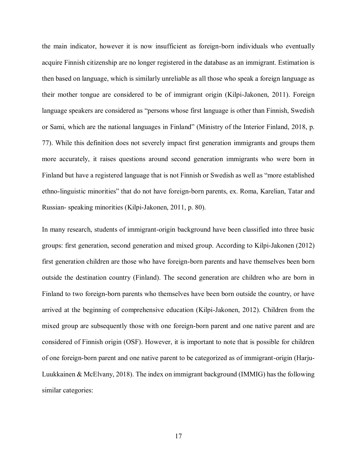the main indicator, however it is now insufficient as foreign-born individuals who eventually acquire Finnish citizenship are no longer registered in the database as an immigrant. Estimation is then based on language, which is similarly unreliable as all those who speak a foreign language as their mother tongue are considered to be of immigrant origin (Kilpi-Jakonen, 2011). Foreign language speakers are considered as "persons whose first language is other than Finnish, Swedish or Sami, which are the national languages in Finland" (Ministry of the Interior Finland, 2018, p. 77). While this definition does not severely impact first generation immigrants and groups them more accurately, it raises questions around second generation immigrants who were born in Finland but have a registered language that is not Finnish or Swedish as well as "more established ethno-linguistic minorities" that do not have foreign-born parents, ex. Roma, Karelian, Tatar and Russian- speaking minorities (Kilpi-Jakonen, 2011, p. 80).

In many research, students of immigrant-origin background have been classified into three basic groups: first generation, second generation and mixed group. According to Kilpi-Jakonen (2012) first generation children are those who have foreign-born parents and have themselves been born outside the destination country (Finland). The second generation are children who are born in Finland to two foreign-born parents who themselves have been born outside the country, or have arrived at the beginning of comprehensive education (Kilpi-Jakonen, 2012). Children from the mixed group are subsequently those with one foreign-born parent and one native parent and are considered of Finnish origin (OSF). However, it is important to note that is possible for children of one foreign-born parent and one native parent to be categorized as of immigrant-origin (Harju-Luukkainen & McElvany, 2018). The index on immigrant background (IMMIG) has the following similar categories: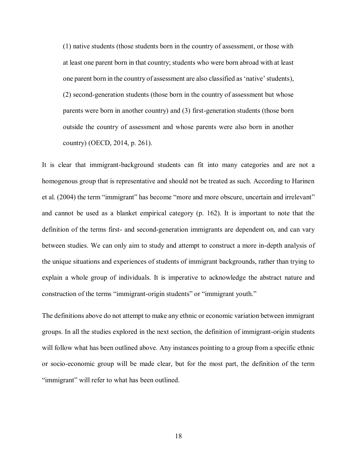(1) native students (those students born in the country of assessment, or those with at least one parent born in that country; students who were born abroad with at least one parent born in the country of assessment are also classified as 'native' students), (2) second-generation students (those born in the country of assessment but whose parents were born in another country) and (3) first-generation students (those born outside the country of assessment and whose parents were also born in another country) (OECD, 2014, p. 261).

It is clear that immigrant-background students can fit into many categories and are not a homogenous group that is representative and should not be treated as such. According to Harinen et al. (2004) the term "immigrant" has become "more and more obscure, uncertain and irrelevant" and cannot be used as a blanket empirical category (p. 162). It is important to note that the definition of the terms first- and second-generation immigrants are dependent on, and can vary between studies. We can only aim to study and attempt to construct a more in-depth analysis of the unique situations and experiences of students of immigrant backgrounds, rather than trying to explain a whole group of individuals. It is imperative to acknowledge the abstract nature and construction of the terms "immigrant-origin students" or "immigrant youth."

The definitions above do not attempt to make any ethnic or economic variation between immigrant groups. In all the studies explored in the next section, the definition of immigrant-origin students will follow what has been outlined above. Any instances pointing to a group from a specific ethnic or socio-economic group will be made clear, but for the most part, the definition of the term "immigrant" will refer to what has been outlined.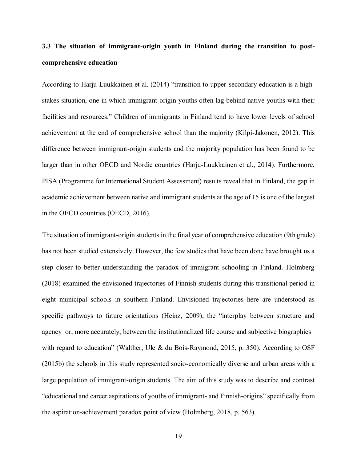## **3.3 The situation of immigrant-origin youth in Finland during the transition to postcomprehensive education**

According to Harju-Luukkainen et al. (2014) "transition to upper-secondary education is a highstakes situation, one in which immigrant-origin youths often lag behind native youths with their facilities and resources." Children of immigrants in Finland tend to have lower levels of school achievement at the end of comprehensive school than the majority (Kilpi-Jakonen, 2012). This difference between immigrant-origin students and the majority population has been found to be larger than in other OECD and Nordic countries (Harju-Luukkainen et al., 2014). Furthermore, PISA (Programme for International Student Assessment) results reveal that in Finland, the gap in academic achievement between native and immigrant students at the age of 15 is one of the largest in the OECD countries (OECD, 2016).

The situation of immigrant-origin students in the final year of comprehensive education (9th grade) has not been studied extensively. However, the few studies that have been done have brought us a step closer to better understanding the paradox of immigrant schooling in Finland. Holmberg (2018) examined the envisioned trajectories of Finnish students during this transitional period in eight municipal schools in southern Finland. Envisioned trajectories here are understood as specific pathways to future orientations (Heinz, 2009), the "interplay between structure and agency–or, more accurately, between the institutionalized life course and subjective biographies– with regard to education" (Walther, Ule & du Bois-Raymond, 2015, p. 350). According to OSF (2015b) the schools in this study represented socio-economically diverse and urban areas with a large population of immigrant-origin students. The aim of this study was to describe and contrast "educational and career aspirations of youths of immigrant- and Finnish-origins" specifically from the aspiration-achievement paradox point of view (Holmberg, 2018, p. 563).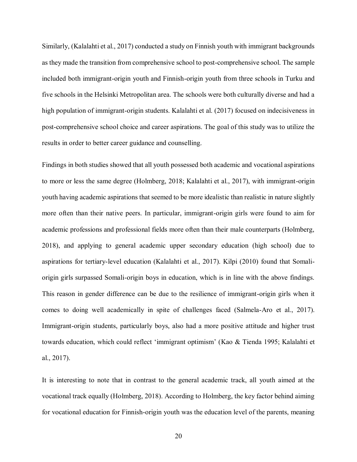Similarly, (Kalalahti et al., 2017) conducted a study on Finnish youth with immigrant backgrounds as they made the transition from comprehensive school to post-comprehensive school. The sample included both immigrant-origin youth and Finnish-origin youth from three schools in Turku and five schools in the Helsinki Metropolitan area. The schools were both culturally diverse and had a high population of immigrant-origin students. Kalalahti et al. (2017) focused on indecisiveness in post-comprehensive school choice and career aspirations. The goal of this study was to utilize the results in order to better career guidance and counselling.

Findings in both studies showed that all youth possessed both academic and vocational aspirations to more or less the same degree (Holmberg, 2018; Kalalahti et al., 2017), with immigrant-origin youth having academic aspirations that seemed to be more idealistic than realistic in nature slightly more often than their native peers. In particular, immigrant-origin girls were found to aim for academic professions and professional fields more often than their male counterparts (Holmberg, 2018), and applying to general academic upper secondary education (high school) due to aspirations for tertiary-level education (Kalalahti et al., 2017). Kilpi (2010) found that Somaliorigin girls surpassed Somali-origin boys in education, which is in line with the above findings. This reason in gender difference can be due to the resilience of immigrant-origin girls when it comes to doing well academically in spite of challenges faced (Salmela-Aro et al., 2017). Immigrant-origin students, particularly boys, also had a more positive attitude and higher trust towards education, which could reflect 'immigrant optimism' (Kao & Tienda 1995; Kalalahti et al., 2017).

It is interesting to note that in contrast to the general academic track, all youth aimed at the vocational track equally (Holmberg, 2018). According to Holmberg, the key factor behind aiming for vocational education for Finnish-origin youth was the education level of the parents, meaning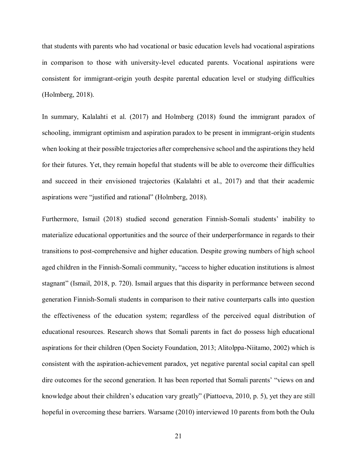that students with parents who had vocational or basic education levels had vocational aspirations in comparison to those with university-level educated parents. Vocational aspirations were consistent for immigrant-origin youth despite parental education level or studying difficulties (Holmberg, 2018).

In summary, Kalalahti et al. (2017) and Holmberg (2018) found the immigrant paradox of schooling, immigrant optimism and aspiration paradox to be present in immigrant-origin students when looking at their possible trajectories after comprehensive school and the aspirations they held for their futures. Yet, they remain hopeful that students will be able to overcome their difficulties and succeed in their envisioned trajectories (Kalalahti et al., 2017) and that their academic aspirations were "justified and rational" (Holmberg, 2018).

Furthermore, Ismail (2018) studied second generation Finnish-Somali students' inability to materialize educational opportunities and the source of their underperformance in regards to their transitions to post-comprehensive and higher education. Despite growing numbers of high school aged children in the Finnish-Somali community, "access to higher education institutions is almost stagnant" (Ismail, 2018, p. 720). Ismail argues that this disparity in performance between second generation Finnish-Somali students in comparison to their native counterparts calls into question the effectiveness of the education system; regardless of the perceived equal distribution of educational resources. Research shows that Somali parents in fact do possess high educational aspirations for their children (Open Society Foundation, 2013; Alitolppa-Niitamo, 2002) which is consistent with the aspiration-achievement paradox, yet negative parental social capital can spell dire outcomes for the second generation. It has been reported that Somali parents' "views on and knowledge about their children's education vary greatly" (Piattoeva, 2010, p. 5), yet they are still hopeful in overcoming these barriers. Warsame (2010) interviewed 10 parents from both the Oulu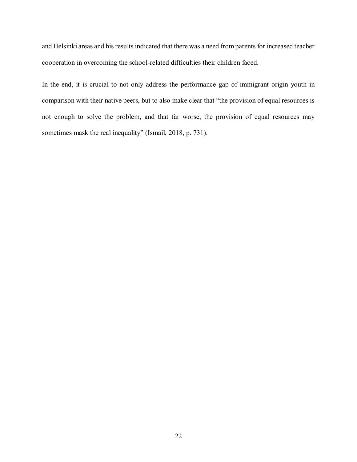and Helsinki areas and his results indicated that there was a need from parents for increased teacher cooperation in overcoming the school-related difficulties their children faced.

In the end, it is crucial to not only address the performance gap of immigrant-origin youth in comparison with their native peers, but to also make clear that "the provision of equal resources is not enough to solve the problem, and that far worse, the provision of equal resources may sometimes mask the real inequality" (Ismail, 2018, p. 731).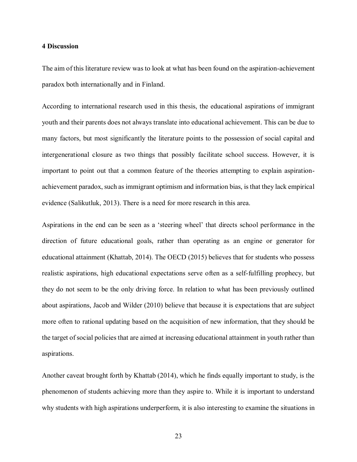#### **4 Discussion**

The aim of this literature review was to look at what has been found on the aspiration-achievement paradox both internationally and in Finland.

According to international research used in this thesis, the educational aspirations of immigrant youth and their parents does not always translate into educational achievement. This can be due to many factors, but most significantly the literature points to the possession of social capital and intergenerational closure as two things that possibly facilitate school success. However, it is important to point out that a common feature of the theories attempting to explain aspirationachievement paradox, such as immigrant optimism and information bias, is that they lack empirical evidence (Salikutluk, 2013). There is a need for more research in this area.

Aspirations in the end can be seen as a 'steering wheel' that directs school performance in the direction of future educational goals, rather than operating as an engine or generator for educational attainment (Khattab, 2014). The OECD (2015) believes that for students who possess realistic aspirations, high educational expectations serve often as a self-fulfilling prophecy, but they do not seem to be the only driving force. In relation to what has been previously outlined about aspirations, Jacob and Wilder (2010) believe that because it is expectations that are subject more often to rational updating based on the acquisition of new information, that they should be the target of social policies that are aimed at increasing educational attainment in youth rather than aspirations.

Another caveat brought forth by Khattab (2014), which he finds equally important to study, is the phenomenon of students achieving more than they aspire to. While it is important to understand why students with high aspirations underperform, it is also interesting to examine the situations in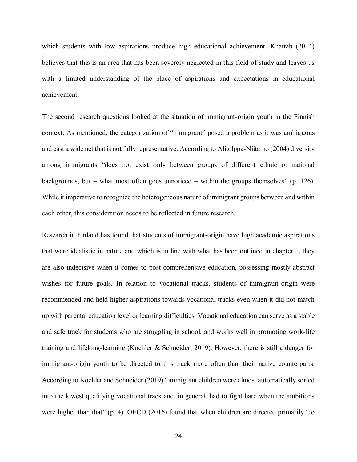which students with low aspirations produce high educational achievement. Khattab (2014) believes that this is an area that has been severely neglected in this field of study and leaves us with a limited understanding of the place of aspirations and expectations in educational achievement.

The second research questions looked at the situation of immigrant-origin youth in the Finnish context. As mentioned, the categorization of "immigrant" posed a problem as it was ambiguous and cast a wide net that is not fully representative. According to Alitolppa-Niitamo (2004) diversity among immigrants "does not exist only between groups of different ethnic or national backgrounds, but – what most often goes unnoticed – within the groups themselves" (p. 126). While it imperative to recognize the heterogeneous nature of immigrant groups between and within each other, this consideration needs to be reflected in future research.

Research in Finland has found that students of immigrant-origin have high academic aspirations that were idealistic in nature and which is in line with what has been outlined in chapter 1, they are also indecisive when it comes to post-comprehensive education, possessing mostly abstract wishes for future goals. In relation to vocational tracks, students of immigrant-origin were recommended and held higher aspirations towards vocational tracks even when it did not match up with parental education level or learning difficulties. Vocational education can serve as a stable and safe track for students who are struggling in school, and works well in promoting work-life training and lifelong-learning (Koehler & Schneider, 2019). However, there is still a danger for immigrant-origin youth to be directed to this track more often than their native counterparts. According to Koehler and Schneider (2019) "immigrant children were almost automatically sorted into the lowest qualifying vocational track and, in general, had to fight hard when the ambitions were higher than that" (p. 4). OECD (2016) found that when children are directed primarily "to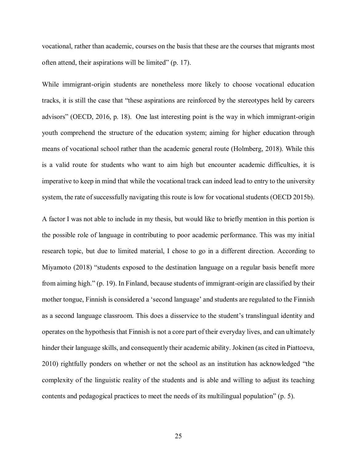vocational, rather than academic, courses on the basis that these are the courses that migrants most often attend, their aspirations will be limited" (p. 17).

While immigrant-origin students are nonetheless more likely to choose vocational education tracks, it is still the case that "these aspirations are reinforced by the stereotypes held by careers advisors" (OECD, 2016, p. 18). One last interesting point is the way in which immigrant-origin youth comprehend the structure of the education system; aiming for higher education through means of vocational school rather than the academic general route (Holmberg, 2018). While this is a valid route for students who want to aim high but encounter academic difficulties, it is imperative to keep in mind that while the vocational track can indeed lead to entry to the university system, the rate of successfully navigating this route is low for vocational students (OECD 2015b).

A factor I was not able to include in my thesis, but would like to briefly mention in this portion is the possible role of language in contributing to poor academic performance. This was my initial research topic, but due to limited material, I chose to go in a different direction. According to Miyamoto (2018) "students exposed to the destination language on a regular basis benefit more from aiming high." (p. 19). In Finland, because students of immigrant-origin are classified by their mother tongue, Finnish is considered a 'second language' and students are regulated to the Finnish as a second language classroom. This does a disservice to the student's translingual identity and operates on the hypothesis that Finnish is not a core part of their everyday lives, and can ultimately hinder their language skills, and consequently their academic ability. Jokinen (as cited in Piattoeva, 2010) rightfully ponders on whether or not the school as an institution has acknowledged "the complexity of the linguistic reality of the students and is able and willing to adjust its teaching contents and pedagogical practices to meet the needs of its multilingual population" (p. 5).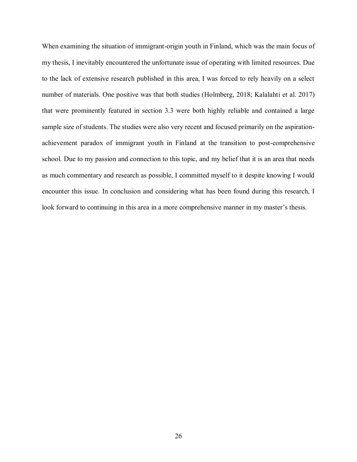When examining the situation of immigrant-origin youth in Finland, which was the main focus of my thesis, I inevitably encountered the unfortunate issue of operating with limited resources. Due to the lack of extensive research published in this area, I was forced to rely heavily on a select number of materials. One positive was that both studies (Holmberg, 2018; Kalalahti et al. 2017) that were prominently featured in section 3.3 were both highly reliable and contained a large sample size of students. The studies were also very recent and focused primarily on the aspirationachievement paradox of immigrant youth in Finland at the transition to post-comprehensive school. Due to my passion and connection to this topic, and my belief that it is an area that needs as much commentary and research as possible, I committed myself to it despite knowing I would encounter this issue. In conclusion and considering what has been found during this research, I look forward to continuing in this area in a more comprehensive manner in my master's thesis.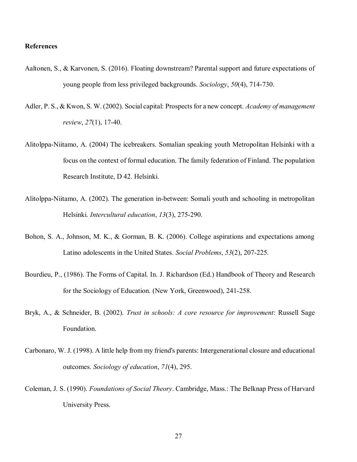#### **References**

- Aaltonen, S., & Karvonen, S. (2016). Floating downstream? Parental support and future expectations of young people from less privileged backgrounds. *Sociology*, *50*(4), 714-730.
- Adler, P. S., & Kwon, S. W. (2002). Social capital: Prospects for a new concept. *Academy of management review*, *27*(1), 17-40.
- Alitolppa-Niitamo, A. (2004) The icebreakers. Somalian speaking youth Metropolitan Helsinki with a focus on the context of formal education. The family federation of Finland. The population Research Institute, D 42. Helsinki.
- Alitolppa-Niitamo, A. (2002). The generation in-between: Somali youth and schooling in metropolitan Helsinki. *Intercultural education*, *13*(3), 275-290.
- Bohon, S. A., Johnson, M. K., & Gorman, B. K. (2006). College aspirations and expectations among Latino adolescents in the United States. *Social Problems*, *53*(2), 207-225.
- Bourdieu, P., (1986). The Forms of Capital. In. J. Richardson (Ed.) Handbook of Theory and Research for the Sociology of Education. (New York, Greenwood), 241-258.
- Bryk, A., & Schneider, B. (2002). *Trust in schools: A core resource for improvement*: Russell Sage Foundation.
- Carbonaro, W. J. (1998). A little help from my friend's parents: Intergenerational closure and educational outcomes. *Sociology of education*, *71*(4), 295.
- Coleman, J. S. (1990). *Foundations of Social Theory*. Cambridge, Mass.: The Belknap Press of Harvard University Press.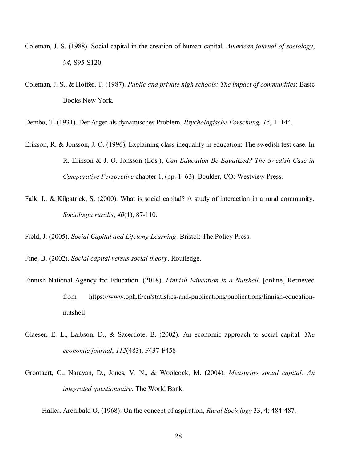- Coleman, J. S. (1988). Social capital in the creation of human capital. *American journal of sociology*, *94*, S95-S120.
- Coleman, J. S., & Hoffer, T. (1987). *Public and private high schools: The impact of communities*: Basic Books New York.

Dembo, T. (1931). Der Ärger als dynamisches Problem. *Psychologische Forschung, 15*, 1–144.

- Erikson, R. & Jonsson, J. O. (1996). Explaining class inequality in education: The swedish test case. In R. Erikson & J. O. Jonsson (Eds.), *Can Education Be Equalized? The Swedish Case in Comparative Perspective* chapter 1, (pp. 1–63). Boulder, CO: Westview Press.
- Falk, I., & Kilpatrick, S. (2000). What is social capital? A study of interaction in a rural community. *Sociologia ruralis*, *40*(1), 87-110.

Field, J. (2005). *Social Capital and Lifelong Learning*. Bristol: The Policy Press.

- Fine, B. (2002). *Social capital versus social theory*. Routledge.
- Finnish National Agency for Education. (2018). *Finnish Education in a Nutshell*. [online] Retrieved from [https://www.oph.fi/en/statistics-and-publications/publications/finnish-education](https://www.oph.fi/en/statistics-and-publications/publications/finnish-education-nutshell)[nutshell](https://www.oph.fi/en/statistics-and-publications/publications/finnish-education-nutshell)
- Glaeser, E. L., Laibson, D., & Sacerdote, B. (2002). An economic approach to social capital. *The economic journal*, *112*(483), F437-F458
- Grootaert, C., Narayan, D., Jones, V. N., & Woolcock, M. (2004). *Measuring social capital: An integrated questionnaire*. The World Bank.

Haller, Archibald O. (1968): On the concept of aspiration, *Rural Sociology* 33, 4: 484-487.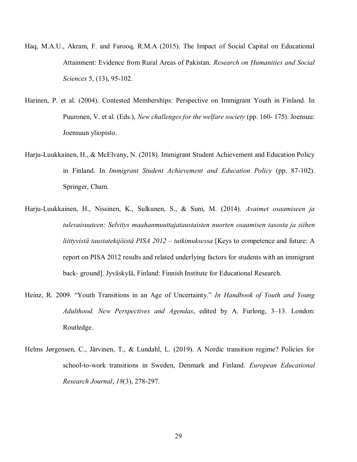- Haq, M.A.U., Akram, F. and Farooq, R.M.A (2015). The Impact of Social Capital on Educational Attainment: Evidence from Rural Areas of Pakistan. *Research on Humanities and Social Sciences* 5, (13), 95-102.
- Harinen, P. et al. (2004). Contested Memberships: Perspective on Immigrant Youth in Finland. In Puuronen, V. et al. (Eds.), *New challenges for the welfare society* (pp. 160- 175). Joensuu: Joensuun yliopisto.
- Harju-Luukkainen, H., & McElvany, N. (2018). Immigrant Student Achievement and Education Policy in Finland. In *Immigrant Student Achievement and Education Policy* (pp. 87-102). Springer, Cham.
- Harju-Luukkainen, H., Nissinen, K., Sulkunen, S., & Suni, M. (2014). *Avaimet osaamiseen ja tulevaisuuteen: Selvitys maahanmuuttajataustaisten nuorten osaamisen tasosta ja siihen liittyvista taustatekijoista PISA 2012 – tutkimuksessa* [Keys to competence and future: A report on PISA 2012 results and related underlying factors for students with an immigrant back- ground]. Jyvaskyla, Finland: Finnish Institute for Educational Research.
- Heinz, R. 2009. "Youth Transitions in an Age of Uncertainty." *In Handbook of Youth and Young Adulthood. New Perspectives and Agendas*, edited by A. Furlong, 3–13. London: Routledge.
- Helms Jørgensen, C., Järvinen, T., & Lundahl, L. (2019). A Nordic transition regime? Policies for school-to-work transitions in Sweden, Denmark and Finland. *European Educational Research Journal*, *18*(3), 278-297.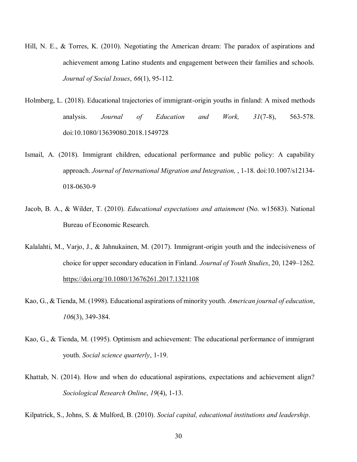- Hill, N. E., & Torres, K. (2010). Negotiating the American dream: The paradox of aspirations and achievement among Latino students and engagement between their families and schools. *Journal of Social Issues*, *66*(1), 95-112.
- Holmberg, L. (2018). Educational trajectories of immigrant-origin youths in finland: A mixed methods analysis. *Journal of Education and Work, 31*(7-8), 563-578. doi:10.1080/13639080.2018.1549728
- Ismail, A. (2018). Immigrant children, educational performance and public policy: A capability approach. *Journal of International Migration and Integration,* , 1-18. doi:10.1007/s12134- 018-0630-9
- Jacob, B. A., & Wilder, T. (2010). *Educational expectations and attainment* (No. w15683). National Bureau of Economic Research.
- Kalalahti, M., Varjo, J., & Jahnukainen, M. (2017). Immigrant-origin youth and the indecisiveness of choice for upper secondary education in Finland. *Journal of Youth Studies*, 20, 1249–1262. <https://doi.org/10.1080/13676261.2017.1321108>
- Kao, G., & Tienda, M. (1998). Educational aspirations of minority youth. *American journal of education*, *106*(3), 349-384.
- Kao, G., & Tienda, M. (1995). Optimism and achievement: The educational performance of immigrant youth. *Social science quarterly*, 1-19.
- Khattab, N. (2014). How and when do educational aspirations, expectations and achievement align? *Sociological Research Online*, *19*(4), 1-13.

Kilpatrick, S., Johns, S. & Mulford, B. (2010). *Social capital, educational institutions and leadership*.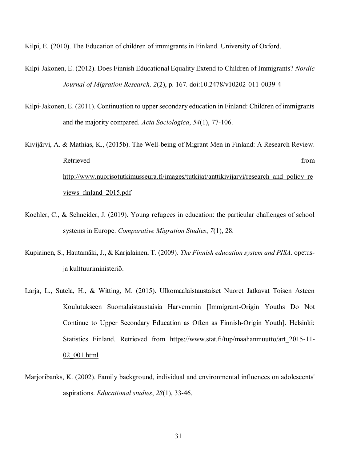Kilpi, E. (2010). The Education of children of immigrants in Finland. University of Oxford.

- Kilpi-Jakonen, E. (2012). Does Finnish Educational Equality Extend to Children of Immigrants? *Nordic Journal of Migration Research, 2*(2), p. 167. doi:10.2478/v10202-011-0039-4
- Kilpi-Jakonen, E. (2011). Continuation to upper secondary education in Finland: Children of immigrants and the majority compared. *Acta Sociologica*, *54*(1), 77-106.
- Kivijärvi, A. & Mathias, K., (2015b). The Well-being of Migrant Men in Finland: A Research Review. Retrieved from the state of the state of the state of the state of the state of the state of the state of the state of the state of the state of the state of the state of the state of the state of the state of the state of [http://www.nuorisotutkimusseura.fi/images/tutkijat/anttikivijarvi/research\\_and\\_policy\\_re](http://www.nuorisotutkimusseura.fi/images/tutkijat/anttikivijarvi/research_and_policy_reviews_finland_2015.pdf) views finland 2015.pdf
- Koehler, C., & Schneider, J. (2019). Young refugees in education: the particular challenges of school systems in Europe. *Comparative Migration Studies*, *7*(1), 28.
- Kupiainen, S., Hautamäki, J., & Karjalainen, T. (2009). *The Finnish education system and PISA*. opetusja kulttuuriministeriö.
- Larja, L., Sutela, H., & Witting, M. (2015). Ulkomaalaistaustaiset Nuoret Jatkavat Toisen Asteen Koulutukseen Suomalaistaustaisia Harvemmin [Immigrant-Origin Youths Do Not Continue to Upper Secondary Education as Often as Finnish-Origin Youth]. Helsinki: Statistics Finland. Retrieved from https://www.stat.fi/tup/maahanmuutto/art 2015-11-[02\\_001.html](https://www.stat.fi/tup/maahanmuutto/art_2015-11-02_001.html)
- Marjoribanks, K. (2002). Family background, individual and environmental influences on adolescents' aspirations. *Educational studies*, *28*(1), 33-46.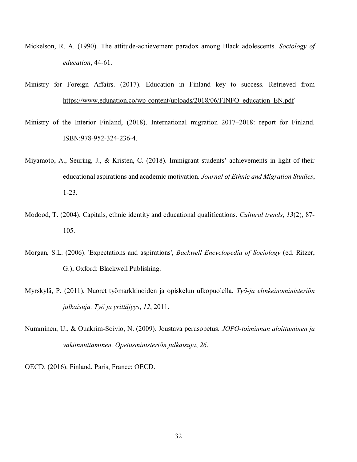- Mickelson, R. A. (1990). The attitude-achievement paradox among Black adolescents. *Sociology of education*, 44-61.
- Ministry for Foreign Affairs. (2017). Education in Finland key to success. Retrieved from [https://www.edunation.co/wp-content/uploads/2018/06/FINFO\\_education\\_EN.pdf](https://www.edunation.co/wp-content/uploads/2018/06/FINFO_education_EN.pdf)
- Ministry of the Interior Finland, (2018). International migration 2017–2018: report for Finland. ISBN:978-952-324-236-4.
- Miyamoto, A., Seuring, J., & Kristen, C. (2018). Immigrant students' achievements in light of their educational aspirations and academic motivation. *Journal of Ethnic and Migration Studies*, 1-23.
- Modood, T. (2004). Capitals, ethnic identity and educational qualifications. *Cultural trends*, *13*(2), 87- 105.
- Morgan, S.L. (2006). 'Expectations and aspirations', *Backwell Encyclopedia of Sociology* (ed. Ritzer, G.), Oxford: Blackwell Publishing.
- Myrskylä, P. (2011). Nuoret työmarkkinoiden ja opiskelun ulkopuolella. *Työ-ja elinkeinoministeriön julkaisuja. Työ ja yrittäjyys*, *12*, 2011.
- Numminen, U., & Ouakrim-Soivio, N. (2009). Joustava perusopetus. *JOPO-toiminnan aloittaminen ja vakiinnuttaminen. Opetusministeriön julkaisuja*, *26*.

OECD. (2016). Finland. Paris, France: OECD.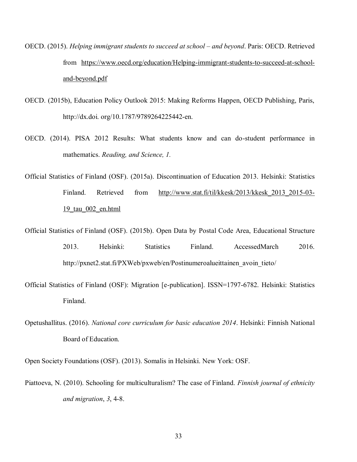- OECD. (2015). *Helping immigrant students to succeed at school and beyond*. Paris: OECD. Retrieved from [https://www.oecd.org/education/Helping-immigrant-students-to-succeed-at-school](https://www.oecd.org/education/Helping-immigrant-students-to-succeed-at-school-and-beyond.pdf)[and-beyond.pdf](https://www.oecd.org/education/Helping-immigrant-students-to-succeed-at-school-and-beyond.pdf)
- OECD. (2015b), Education Policy Outlook 2015: Making Reforms Happen, OECD Publishing, Paris, http://dx.doi. org/10.1787/9789264225442-en.
- OECD. (2014). PISA 2012 Results: What students know and can do-student performance in mathematics. *Reading, and Science, 1.*
- Official Statistics of Finland (OSF). (2015a). Discontinuation of Education 2013. Helsinki: Statistics Finland. Retrieved from http://www.stat.fi/til/kkesk/2013/kkesk 2013 2015-03-[19\\_tau\\_002\\_en.html](http://www.stat.fi/til/kkesk/2013/kkesk_2013_2015-03-19_tau_002_en.html)
- Official Statistics of Finland (OSF). (2015b). Open Data by Postal Code Area, Educational Structure 2013. Helsinki: Statistics Finland. AccessedMarch 2016. http://pxnet2.stat.fi/PXWeb/pxweb/en/Postinumeroalueittainen\_avoin\_tieto/
- Official Statistics of Finland (OSF): Migration [e-publication]. ISSN=1797-6782. Helsinki: Statistics Finland.
- Opetushallitus. (2016). *National core curriculum for basic education 2014*. Helsinki: Finnish National Board of Education.

Open Society Foundations (OSF). (2013). Somalis in Helsinki. New York: OSF.

Piattoeva, N. (2010). Schooling for multiculturalism? The case of Finland. *Finnish journal of ethnicity and migration*, *3*, 4-8.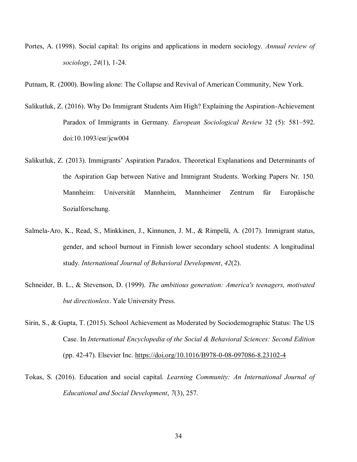Portes, A. (1998). Social capital: Its origins and applications in modern sociology. *Annual review of sociology*, *24*(1), 1-24.

Putnam, R. (2000). Bowling alone: The Collapse and Revival of American Community, New York.

- Salikutluk, Z. (2016). Why Do Immigrant Students Aim High? Explaining the Aspiration-Achievement Paradox of Immigrants in Germany. *European Sociological Review* 32 (5): 581–592. doi:10.1093/esr/jcw004
- Salikutluk, Z. (2013). Immigrants' Aspiration Paradox. Theoretical Explanations and Determinants of the Aspiration Gap between Native and Immigrant Students. Working Papers Nr. 150. Mannheim: Universität Mannheim, Mannheimer Zentrum für Europäische Sozialforschung.
- Salmela-Aro, K., Read, S., Minkkinen, J., Kinnunen, J. M., & Rimpelä, A. (2017). Immigrant status, gender, and school burnout in Finnish lower secondary school students: A longitudinal study. *International Journal of Behavioral Development*, *42*(2).
- Schneider, B. L., & Stevenson, D. (1999). *The ambitious generation: America's teenagers, motivated but directionless*. Yale University Press.
- Sirin, S., & Gupta, T. (2015). School Achievement as Moderated by Sociodemographic Status: The US Case. In *International Encyclopedia of the Social & Behavioral Sciences: Second Edition*  (pp. 42-47). Elsevier Inc.<https://doi.org/10.1016/B978-0-08-097086-8.23102-4>
- Tokas, S. (2016). Education and social capital. *Learning Community: An International Journal of Educational and Social Development*, *7*(3), 257.